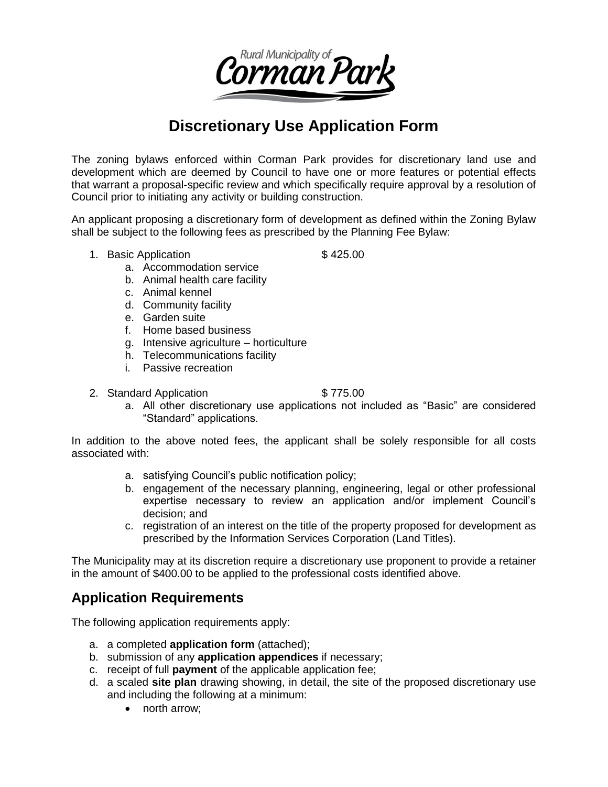

# **Discretionary Use Application Form**

The zoning bylaws enforced within Corman Park provides for discretionary land use and development which are deemed by Council to have one or more features or potential effects that warrant a proposal-specific review and which specifically require approval by a resolution of Council prior to initiating any activity or building construction.

An applicant proposing a discretionary form of development as defined within the Zoning Bylaw shall be subject to the following fees as prescribed by the Planning Fee Bylaw:

1. Basic Application  $$425.00$ 

- a. Accommodation service
- b. Animal health care facility
- c. Animal kennel
- d. Community facility
- e. Garden suite
- f. Home based business
- g. Intensive agriculture horticulture
- h. Telecommunications facility
- i. Passive recreation
- 2. Standard Application **\$775.00**

a. All other discretionary use applications not included as "Basic" are considered "Standard" applications.

In addition to the above noted fees, the applicant shall be solely responsible for all costs associated with:

- a. satisfying Council's public notification policy;
- b. engagement of the necessary planning, engineering, legal or other professional expertise necessary to review an application and/or implement Council's decision; and
- c. registration of an interest on the title of the property proposed for development as prescribed by the Information Services Corporation (Land Titles).

The Municipality may at its discretion require a discretionary use proponent to provide a retainer in the amount of \$400.00 to be applied to the professional costs identified above.

### **Application Requirements**

The following application requirements apply:

- a. a completed **application form** (attached);
- b. submission of any **application appendices** if necessary;
- c. receipt of full **payment** of the applicable application fee;
- d. a scaled **site plan** drawing showing, in detail, the site of the proposed discretionary use and including the following at a minimum:
	- north arrow: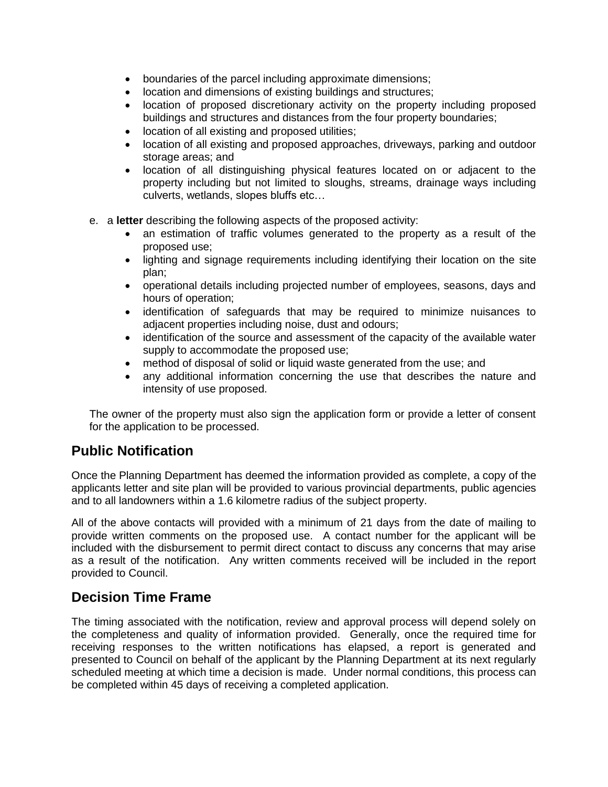- boundaries of the parcel including approximate dimensions;
- location and dimensions of existing buildings and structures;
- location of proposed discretionary activity on the property including proposed buildings and structures and distances from the four property boundaries;
- location of all existing and proposed utilities;
- location of all existing and proposed approaches, driveways, parking and outdoor storage areas; and
- location of all distinguishing physical features located on or adjacent to the property including but not limited to sloughs, streams, drainage ways including culverts, wetlands, slopes bluffs etc…
- e. a **letter** describing the following aspects of the proposed activity:
	- an estimation of traffic volumes generated to the property as a result of the proposed use;
	- lighting and signage requirements including identifying their location on the site plan;
	- operational details including projected number of employees, seasons, days and hours of operation;
	- identification of safeguards that may be required to minimize nuisances to adjacent properties including noise, dust and odours;
	- identification of the source and assessment of the capacity of the available water supply to accommodate the proposed use;
	- method of disposal of solid or liquid waste generated from the use; and
	- any additional information concerning the use that describes the nature and intensity of use proposed.

The owner of the property must also sign the application form or provide a letter of consent for the application to be processed.

## **Public Notification**

Once the Planning Department has deemed the information provided as complete, a copy of the applicants letter and site plan will be provided to various provincial departments, public agencies and to all landowners within a 1.6 kilometre radius of the subject property.

All of the above contacts will provided with a minimum of 21 days from the date of mailing to provide written comments on the proposed use. A contact number for the applicant will be included with the disbursement to permit direct contact to discuss any concerns that may arise as a result of the notification. Any written comments received will be included in the report provided to Council.

## **Decision Time Frame**

The timing associated with the notification, review and approval process will depend solely on the completeness and quality of information provided. Generally, once the required time for receiving responses to the written notifications has elapsed, a report is generated and presented to Council on behalf of the applicant by the Planning Department at its next regularly scheduled meeting at which time a decision is made. Under normal conditions, this process can be completed within 45 days of receiving a completed application.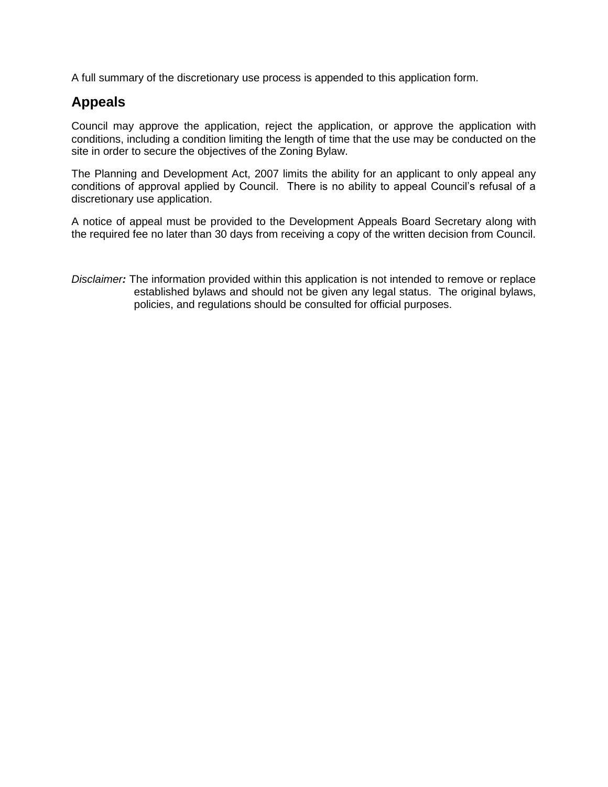A full summary of the discretionary use process is appended to this application form.

## **Appeals**

Council may approve the application, reject the application, or approve the application with conditions, including a condition limiting the length of time that the use may be conducted on the site in order to secure the objectives of the Zoning Bylaw.

The Planning and Development Act, 2007 limits the ability for an applicant to only appeal any conditions of approval applied by Council. There is no ability to appeal Council's refusal of a discretionary use application.

A notice of appeal must be provided to the Development Appeals Board Secretary along with the required fee no later than 30 days from receiving a copy of the written decision from Council.

*Disclaimer:* The information provided within this application is not intended to remove or replace established bylaws and should not be given any legal status. The original bylaws, policies, and regulations should be consulted for official purposes.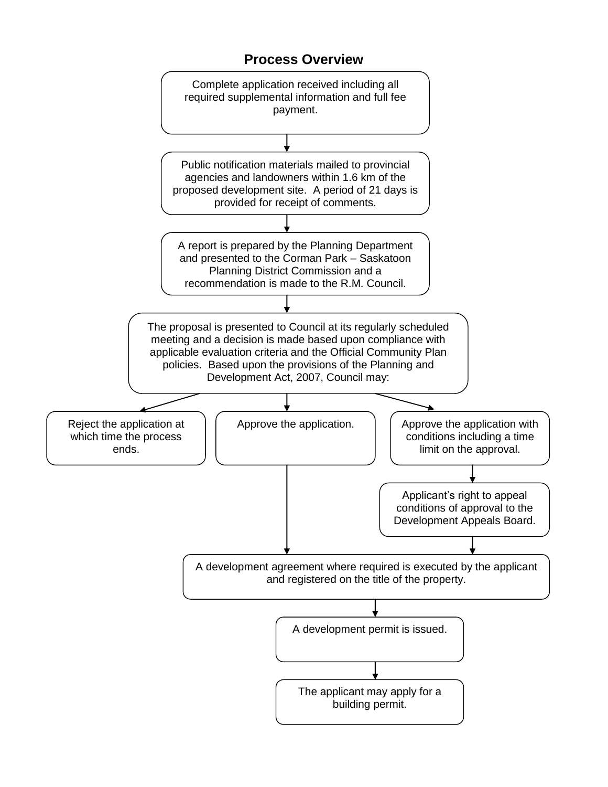### **Process Overview**

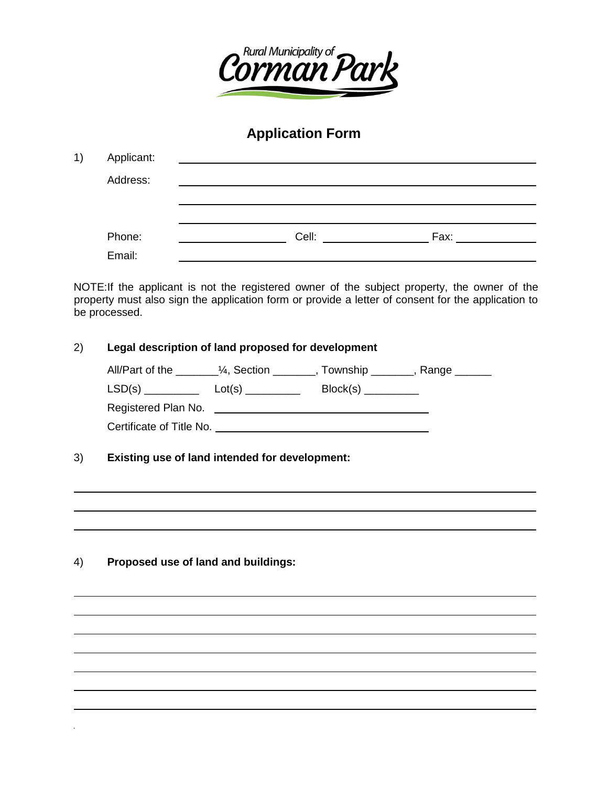

# **Application Form**

| 1) | Applicant: | <u> 1980 - Jan Sterlinger, fransk politiker (d. 1980)</u> |                                                                                                      |
|----|------------|-----------------------------------------------------------|------------------------------------------------------------------------------------------------------|
|    | Address:   |                                                           |                                                                                                      |
|    |            |                                                           |                                                                                                      |
|    |            |                                                           |                                                                                                      |
|    | Phone:     | Cell:                                                     | Fax: The Fax State State State State State State State State State State State State State State Sta |
|    | Email:     |                                                           |                                                                                                      |

NOTE: If the applicant is not the registered owner of the subject property, the owner of the property must also sign the application form or provide a letter of consent for the application to be processed.

| 2) | Legal description of land proposed for development                                |  |                          |  |  |
|----|-----------------------------------------------------------------------------------|--|--------------------------|--|--|
|    | All/Part of the _________1/4, Section _________, Township ________, Range _______ |  |                          |  |  |
|    | $LSD(s)$ $LSI(s)$ $Lot(s)$ $LSI(s)$                                               |  | $Block(s)$ _____________ |  |  |
|    | Registered Plan No. <b>Example 20</b> No.                                         |  |                          |  |  |
|    | Certificate of Title No.                                                          |  |                          |  |  |

3) **Existing use of land intended for development:**

4) **Proposed use of land and buildings:**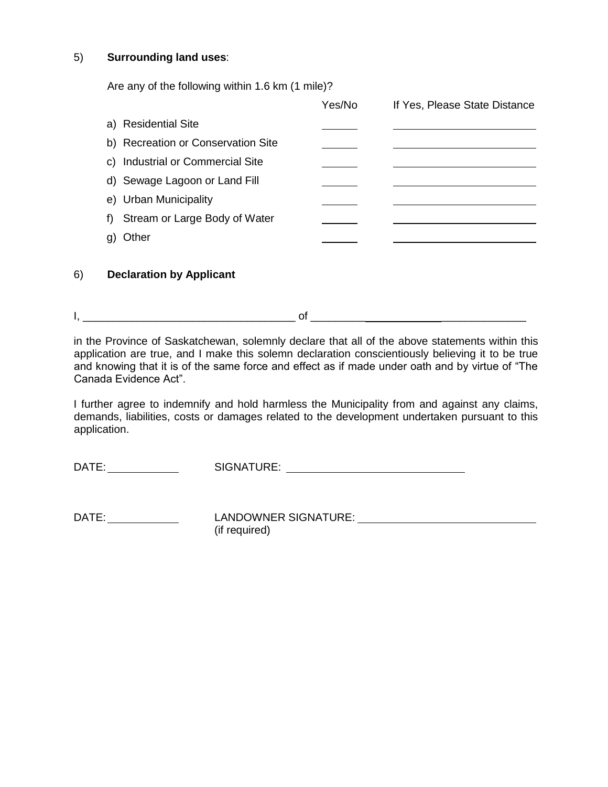#### 5) **Surrounding land uses**:

Are any of the following within 1.6 km (1 mile)?

|                                     | Yes/No | If Yes, Please State Distance |
|-------------------------------------|--------|-------------------------------|
| a) Residential Site                 |        |                               |
| b) Recreation or Conservation Site  |        |                               |
| c) Industrial or Commercial Site    |        |                               |
| d) Sewage Lagoon or Land Fill       |        |                               |
| e) Urban Municipality               |        |                               |
| Stream or Large Body of Water<br>f) |        |                               |
| ≀ther                               |        |                               |

#### 6) **Declaration by Applicant**

 $\mathsf{I}, \underline{\hspace{1cm}}$ 

in the Province of Saskatchewan, solemnly declare that all of the above statements within this application are true, and I make this solemn declaration conscientiously believing it to be true and knowing that it is of the same force and effect as if made under oath and by virtue of "The Canada Evidence Act".

I further agree to indemnify and hold harmless the Municipality from and against any claims, demands, liabilities, costs or damages related to the development undertaken pursuant to this application.

DATE: SIGNATURE:

DATE: LANDOWNER SIGNATURE: (if required)